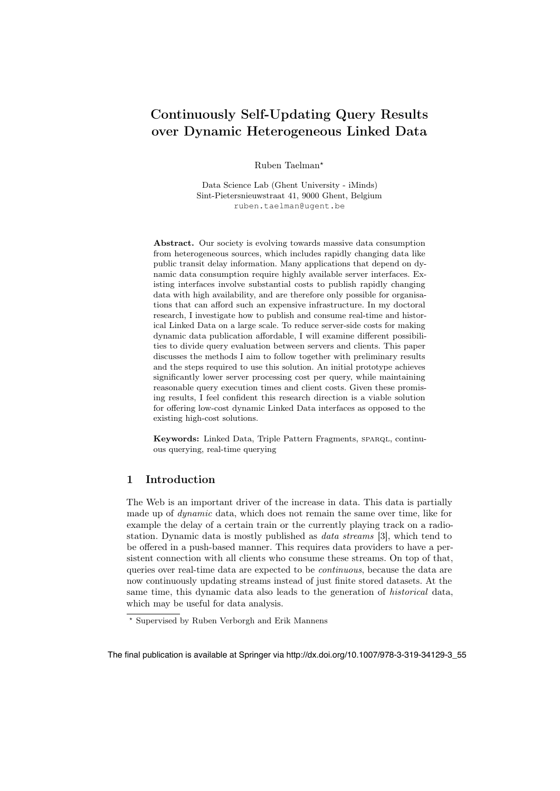# Continuously Self-Updating Query Results over Dynamic Heterogeneous Linked Data

Ruben Taelman?

Data Science Lab (Ghent University - iMinds) Sint-Pietersnieuwstraat 41, 9000 Ghent, Belgium ruben.taelman@ugent.be

Abstract. Our society is evolving towards massive data consumption from heterogeneous sources, which includes rapidly changing data like public transit delay information. Many applications that depend on dynamic data consumption require highly available server interfaces. Existing interfaces involve substantial costs to publish rapidly changing data with high availability, and are therefore only possible for organisations that can afford such an expensive infrastructure. In my doctoral research, I investigate how to publish and consume real-time and historical Linked Data on a large scale. To reduce server-side costs for making dynamic data publication affordable, I will examine different possibilities to divide query evaluation between servers and clients. This paper discusses the methods I aim to follow together with preliminary results and the steps required to use this solution. An initial prototype achieves significantly lower server processing cost per query, while maintaining reasonable query execution times and client costs. Given these promising results, I feel confident this research direction is a viable solution for offering low-cost dynamic Linked Data interfaces as opposed to the existing high-cost solutions.

Keywords: Linked Data, Triple Pattern Fragments, SPARQL, continuous querying, real-time querying

# 1 Introduction

The Web is an important driver of the increase in data. This data is partially made up of *dynamic* data, which does not remain the same over time, like for example the delay of a certain train or the currently playing track on a radiostation. Dynamic data is mostly published as *data streams* [\[3\]](#page-8-0), which tend to be offered in a push-based manner. This requires data providers to have a persistent connection with all clients who consume these streams. On top of that, queries over real-time data are expected to be *continuous*, because the data are now continuously updating streams instead of just finite stored datasets. At the same time, this dynamic data also leads to the generation of *historical* data, which may be useful for data analysis.

The final publication is available at Springer via http://dx.doi.org/10.1007/978-3-319-34129-3\_55

<sup>?</sup> Supervised by Ruben Verborgh and Erik Mannens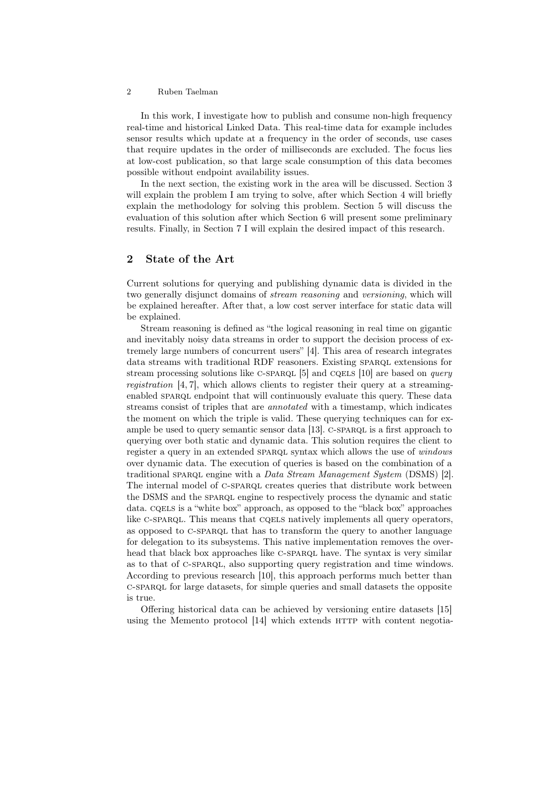#### 2 Ruben Taelman

In this work, I investigate how to publish and consume non-high frequency real-time and historical Linked Data. This real-time data for example includes sensor results which update at a frequency in the order of seconds, use cases that require updates in the order of milliseconds are excluded. The focus lies at low-cost publication, so that large scale consumption of this data becomes possible without endpoint availability issues.

In the next section, the existing work in the area will be discussed. Section [3](#page-2-0) will explain the problem I am trying to solve, after which Section [4](#page-3-0) will briefly explain the methodology for solving this problem. Section [5](#page-5-0) will discuss the evaluation of this solution after which Section [6](#page-6-0) will present some preliminary results. Finally, in Section [7](#page-7-0) I will explain the desired impact of this research.

## <span id="page-1-0"></span>2 State of the Art

Current solutions for querying and publishing dynamic data is divided in the two generally disjunct domains of *stream reasoning* and *versioning*, which will be explained hereafter. After that, a low cost server interface for static data will be explained.

Stream reasoning is defined as "the logical reasoning in real time on gigantic and inevitably noisy data streams in order to support the decision process of extremely large numbers of concurrent users" [\[4\]](#page-8-1). This area of research integrates data streams with traditional RDF reasoners. Existing SPARQL extensions for stream processing solutions like c-sparql [\[5\]](#page-8-2) and cqels [\[10\]](#page-8-3) are based on *query registration* [\[4,](#page-8-1) [7\]](#page-8-4), which allows clients to register their query at a streamingenabled SPARQL endpoint that will continuously evaluate this query. These data streams consist of triples that are *annotated* with a timestamp, which indicates the moment on which the triple is valid. These querying techniques can for ex-ample be used to query semantic sensor data [\[13\]](#page-8-5). C-SPARQL is a first approach to querying over both static and dynamic data. This solution requires the client to register a query in an extended sparql syntax which allows the use of *windows* over dynamic data. The execution of queries is based on the combination of a traditional sparql engine with a *Data Stream Management System* (DSMS) [\[2\]](#page-8-6). The internal model of C-SPARQL creates queries that distribute work between the DSMS and the sparaquengine to respectively process the dynamic and static data. CQELS is a "white box" approach, as opposed to the "black box" approaches like C-SPARQL. This means that CQELS natively implements all query operators, as opposed to c-sparql that has to transform the query to another language for delegation to its subsystems. This native implementation removes the overhead that black box approaches like C-SPARQL have. The syntax is very similar as to that of c-sparql, also supporting query registration and time windows. According to previous research [\[10\]](#page-8-3), this approach performs much better than c-sparql for large datasets, for simple queries and small datasets the opposite is true.

Offering historical data can be achieved by versioning entire datasets [\[15\]](#page-9-0) using the Memento protocol  $[14]$  which extends  $HTTP$  with content negotia-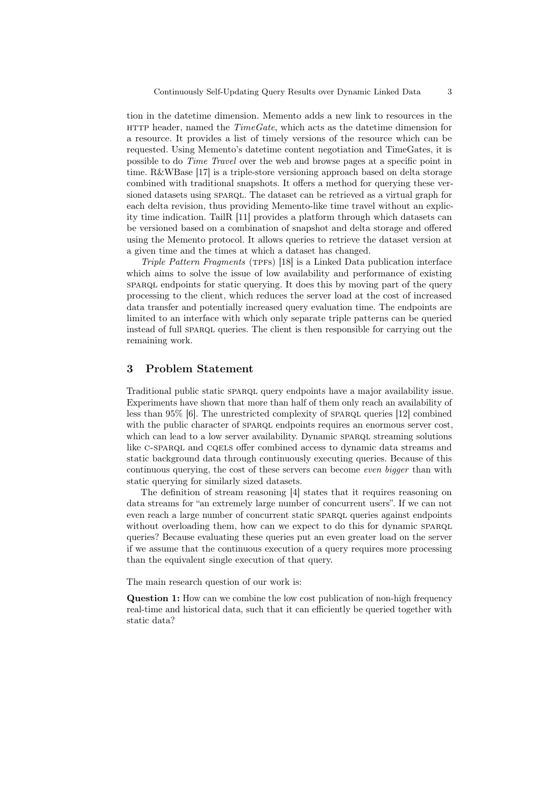tion in the datetime dimension. Memento adds a new link to resources in the http header, named the *TimeGate*, which acts as the datetime dimension for a resource. It provides a list of timely versions of the resource which can be requested. Using Memento's datetime content negotiation and TimeGates, it is possible to do *Time Travel* over the web and browse pages at a specific point in time. R&WBase [\[17\]](#page-9-2) is a triple-store versioning approach based on delta storage combined with traditional snapshots. It offers a method for querying these versioned datasets using SPARQL. The dataset can be retrieved as a virtual graph for each delta revision, thus providing Memento-like time travel without an explicity time indication. TailR [\[11\]](#page-8-7) provides a platform through which datasets can be versioned based on a combination of snapshot and delta storage and offered using the Memento protocol. It allows queries to retrieve the dataset version at a given time and the times at which a dataset has changed.

*Triple Pattern Fragments* (TPFs) [\[18\]](#page-9-3) is a Linked Data publication interface which aims to solve the issue of low availability and performance of existing sparql endpoints for static querying. It does this by moving part of the query processing to the client, which reduces the server load at the cost of increased data transfer and potentially increased query evaluation time. The endpoints are limited to an interface with which only separate triple patterns can be queried instead of full SPARQL queries. The client is then responsible for carrying out the remaining work.

# <span id="page-2-0"></span>3 Problem Statement

Traditional public static sparql query endpoints have a major availability issue. Experiments have shown that more than half of them only reach an availability of less than  $95\%$  [\[6\]](#page-8-8). The unrestricted complexity of SPARQL queries [\[12\]](#page-8-9) combined with the public character of SPARQL endpoints requires an enormous server cost, which can lead to a low server availability. Dynamic SPARQL streaming solutions like c-sparql and cqels offer combined access to dynamic data streams and static background data through continuously executing queries. Because of this continuous querying, the cost of these servers can become *even bigger* than with static querying for similarly sized datasets.

The definition of stream reasoning [\[4\]](#page-8-1) states that it requires reasoning on data streams for "an extremely large number of concurrent users". If we can not even reach a large number of concurrent static SPARQL queries against endpoints without overloading them, how can we expect to do this for dynamic SPARQL queries? Because evaluating these queries put an even greater load on the server if we assume that the continuous execution of a query requires more processing than the equivalent single execution of that query.

The main research question of our work is:

Question 1: How can we combine the low cost publication of non-high frequency real-time and historical data, such that it can efficiently be queried together with static data?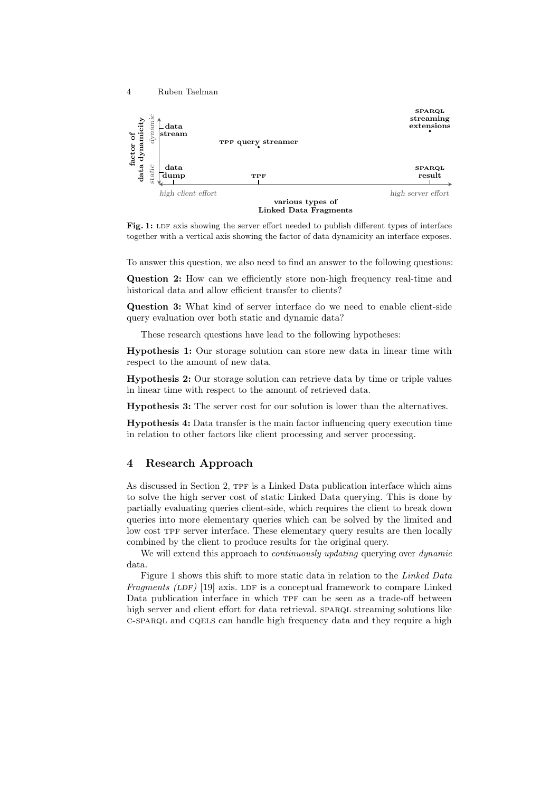<span id="page-3-1"></span>

Fig. 1: LDF axis showing the server effort needed to publish different types of interface together with a vertical axis showing the factor of data dynamicity an interface exposes.

To answer this question, we also need to find an answer to the following questions:

Question 2: How can we efficiently store non-high frequency real-time and historical data and allow efficient transfer to clients?

Question 3: What kind of server interface do we need to enable client-side query evaluation over both static and dynamic data?

These research questions have lead to the following hypotheses:

<span id="page-3-2"></span>Hypothesis 1: Our storage solution can store new data in linear time with respect to the amount of new data.

<span id="page-3-3"></span>Hypothesis 2: Our storage solution can retrieve data by time or triple values in linear time with respect to the amount of retrieved data.

<span id="page-3-4"></span>Hypothesis 3: The server cost for our solution is lower than the alternatives.

<span id="page-3-5"></span>Hypothesis 4: Data transfer is the main factor influencing query execution time in relation to other factors like client processing and server processing.

#### <span id="page-3-0"></span>4 Research Approach

As discussed in Section [2,](#page-1-0) TPF is a Linked Data publication interface which aims to solve the high server cost of static Linked Data querying. This is done by partially evaluating queries client-side, which requires the client to break down queries into more elementary queries which can be solved by the limited and low cost TPF server interface. These elementary query results are then locally combined by the client to produce results for the original query.

We will extend this approach to *continuously updating* querying over *dynamic* data.

Figure [1](#page-3-1) shows this shift to more static data in relation to the *Linked Data Fragments (LDF)* [\[19\]](#page-9-4) axis. LDF is a conceptual framework to compare Linked Data publication interface in which TPF can be seen as a trade-off between high server and client effort for data retrieval. SPARQL streaming solutions like c-sparql and cqels can handle high frequency data and they require a high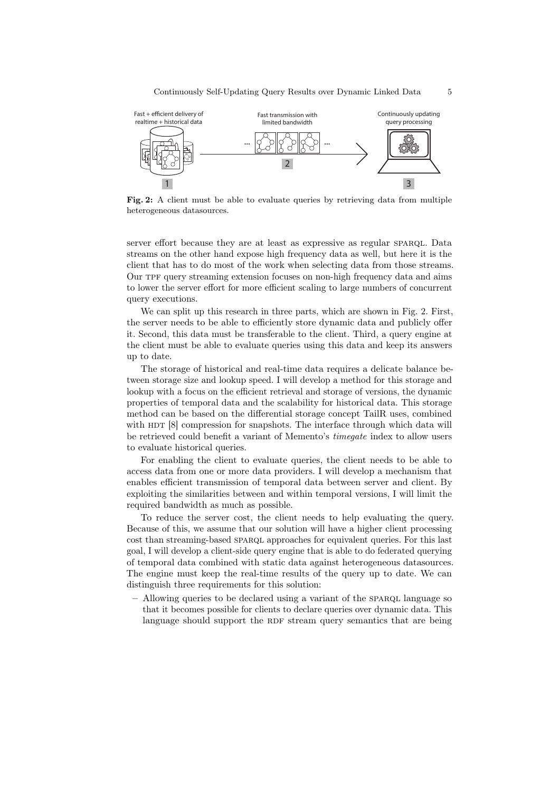<span id="page-4-0"></span>

Fig. 2: A client must be able to evaluate queries by retrieving data from multiple heterogeneous datasources.

server effort because they are at least as expressive as regular SPARQL. Data streams on the other hand expose high frequency data as well, but here it is the client that has to do most of the work when selecting data from those streams. Our tpf query streaming extension focuses on non-high frequency data and aims to lower the server effort for more efficient scaling to large numbers of concurrent query executions.

We can split up this research in three parts, which are shown in Fig. [2.](#page-4-0) First, the server needs to be able to efficiently store dynamic data and publicly offer it. Second, this data must be transferable to the client. Third, a query engine at the client must be able to evaluate queries using this data and keep its answers up to date.

The storage of historical and real-time data requires a delicate balance between storage size and lookup speed. I will develop a method for this storage and lookup with a focus on the efficient retrieval and storage of versions, the dynamic properties of temporal data and the scalability for historical data. This storage method can be based on the differential storage concept TailR uses, combined with HDT  $[8]$  compression for snapshots. The interface through which data will be retrieved could benefit a variant of Memento's *timegate* index to allow users to evaluate historical queries.

For enabling the client to evaluate queries, the client needs to be able to access data from one or more data providers. I will develop a mechanism that enables efficient transmission of temporal data between server and client. By exploiting the similarities between and within temporal versions, I will limit the required bandwidth as much as possible.

To reduce the server cost, the client needs to help evaluating the query. Because of this, we assume that our solution will have a higher client processing cost than streaming-based SPARQL approaches for equivalent queries. For this last goal, I will develop a client-side query engine that is able to do federated querying of temporal data combined with static data against heterogeneous datasources. The engine must keep the real-time results of the query up to date. We can distinguish three requirements for this solution:

 $-$  Allowing queries to be declared using a variant of the sparch language so that it becomes possible for clients to declare queries over dynamic data. This language should support the RDF stream query semantics that are being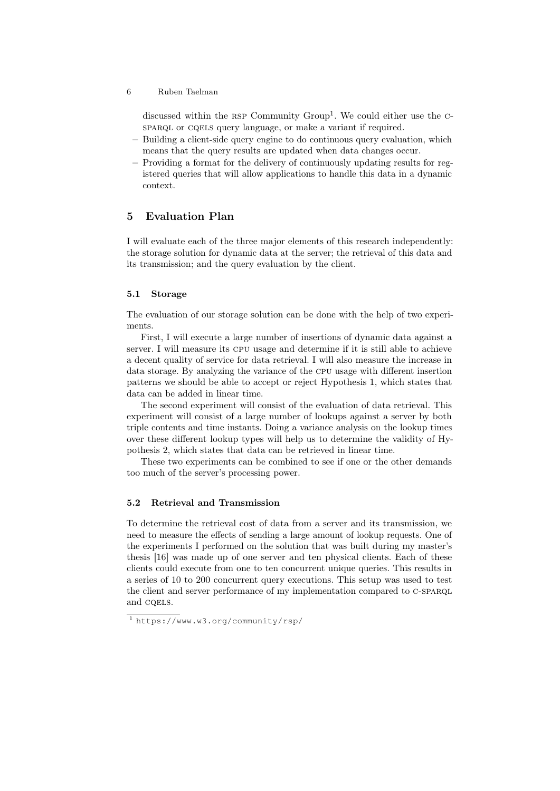discussed within the RSP Community  $Group<sup>1</sup>$  $Group<sup>1</sup>$  $Group<sup>1</sup>$ . We could either use the  $C$ sparaquery language, or make a variant if required.

- Building a client-side query engine to do continuous query evaluation, which means that the query results are updated when data changes occur.
- Providing a format for the delivery of continuously updating results for registered queries that will allow applications to handle this data in a dynamic context.

# <span id="page-5-0"></span>5 Evaluation Plan

I will evaluate each of the three major elements of this research independently: the storage solution for dynamic data at the server; the retrieval of this data and its transmission; and the query evaluation by the client.

## 5.1 Storage

The evaluation of our storage solution can be done with the help of two experiments.

First, I will execute a large number of insertions of dynamic data against a server. I will measure its cpu usage and determine if it is still able to achieve a decent quality of service for data retrieval. I will also measure the increase in data storage. By analyzing the variance of the cpu usage with different insertion patterns we should be able to accept or reject Hypothesis [1,](#page-3-2) which states that data can be added in linear time.

The second experiment will consist of the evaluation of data retrieval. This experiment will consist of a large number of lookups against a server by both triple contents and time instants. Doing a variance analysis on the lookup times over these different lookup types will help us to determine the validity of Hypothesis [2,](#page-3-3) which states that data can be retrieved in linear time.

These two experiments can be combined to see if one or the other demands too much of the server's processing power.

#### 5.2 Retrieval and Transmission

To determine the retrieval cost of data from a server and its transmission, we need to measure the effects of sending a large amount of lookup requests. One of the experiments I performed on the solution that was built during my master's thesis [\[16\]](#page-9-5) was made up of one server and ten physical clients. Each of these clients could execute from one to ten concurrent unique queries. This results in a series of 10 to 200 concurrent query executions. This setup was used to test the client and server performance of my implementation compared to C-SPARQL and COELS.

<sup>6</sup> Ruben Taelman

<span id="page-5-1"></span><sup>1</sup> <https://www.w3.org/community/rsp/>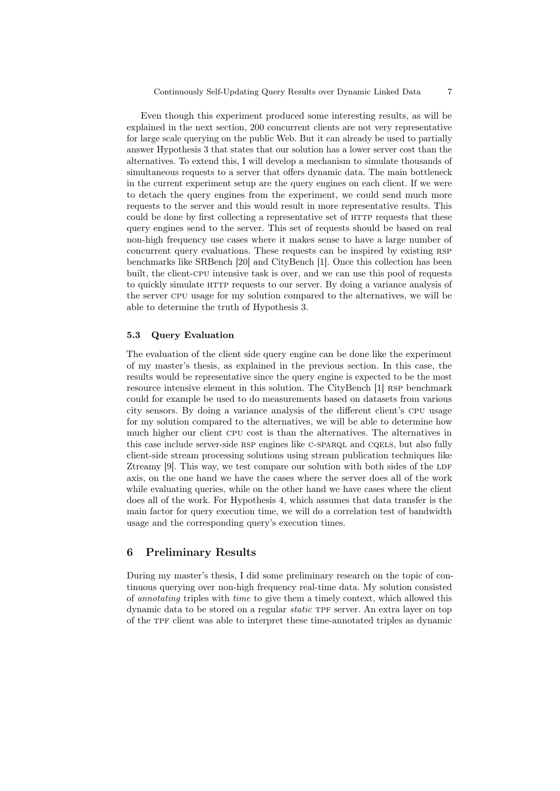Even though this experiment produced some interesting results, as will be explained in the next section, 200 concurrent clients are not very representative for large scale querying on the public Web. But it can already be used to partially answer Hypothesis [3](#page-3-4) that states that our solution has a lower server cost than the alternatives. To extend this, I will develop a mechanism to simulate thousands of simultaneous requests to a server that offers dynamic data. The main bottleneck in the current experiment setup are the query engines on each client. If we were to detach the query engines from the experiment, we could send much more requests to the server and this would result in more representative results. This could be done by first collecting a representative set of HTTP requests that these query engines send to the server. This set of requests should be based on real non-high frequency use cases where it makes sense to have a large number of concurrent query evaluations. These requests can be inspired by existing rsp benchmarks like SRBench [\[20\]](#page-9-6) and CityBench [\[1\]](#page-8-11). Once this collection has been built, the client-cpu intensive task is over, and we can use this pool of requests to quickly simulate http requests to our server. By doing a variance analysis of the server cpu usage for my solution compared to the alternatives, we will be able to determine the truth of Hypothesis [3.](#page-3-4)

# 5.3 Query Evaluation

The evaluation of the client side query engine can be done like the experiment of my master's thesis, as explained in the previous section. In this case, the results would be representative since the query engine is expected to be the most resource intensive element in this solution. The CityBench [\[1\]](#page-8-11) RSP benchmark could for example be used to do measurements based on datasets from various city sensors. By doing a variance analysis of the different client's cpu usage for my solution compared to the alternatives, we will be able to determine how much higher our client cpu cost is than the alternatives. The alternatives in this case include server-side RSP engines like C-SPARQL and CQELS, but also fully client-side stream processing solutions using stream publication techniques like Ztreamy  $[9]$ . This way, we test compare our solution with both sides of the LDF axis, on the one hand we have the cases where the server does all of the work while evaluating queries, while on the other hand we have cases where the client does all of the work. For Hypothesis [4,](#page-3-5) which assumes that data transfer is the main factor for query execution time, we will do a correlation test of bandwidth usage and the corresponding query's execution times.

## <span id="page-6-0"></span>6 Preliminary Results

During my master's thesis, I did some preliminary research on the topic of continuous querying over non-high frequency real-time data. My solution consisted of *annotating* triples with *time* to give them a timely context, which allowed this dynamic data to be stored on a regular *static* TPF server. An extra layer on top of the TPF client was able to interpret these time-annotated triples as dynamic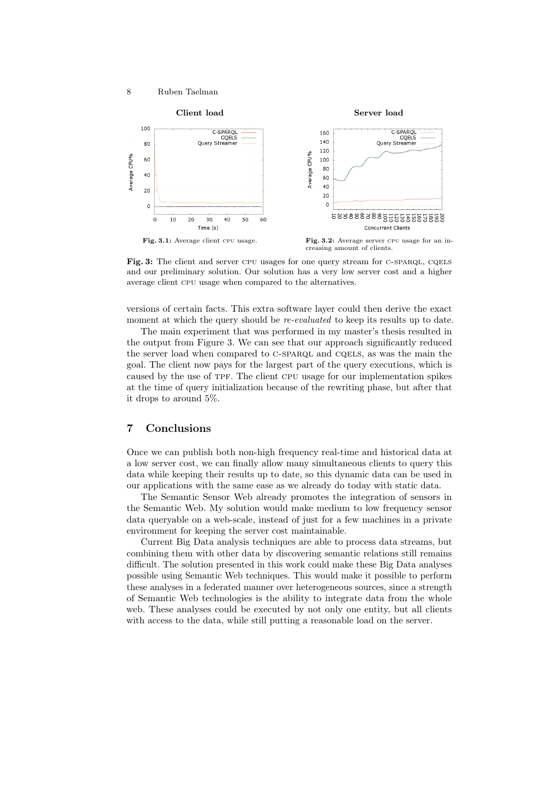<span id="page-7-1"></span>

Fig. 3: The client and server CPU usages for one query stream for C-SPARQL, CQELS and our preliminary solution. Our solution has a very low server cost and a higher average client cpu usage when compared to the alternatives.

versions of certain facts. This extra software layer could then derive the exact moment at which the query should be *re-evaluated* to keep its results up to date.

The main experiment that was performed in my master's thesis resulted in the output from Figure [3.](#page-7-1) We can see that our approach significantly reduced the server load when compared to C-SPARQL and CQELS, as was the main the goal. The client now pays for the largest part of the query executions, which is caused by the use of tpf. The client cpu usage for our implementation spikes at the time of query initialization because of the rewriting phase, but after that it drops to around 5%.

#### <span id="page-7-0"></span>7 Conclusions

Once we can publish both non-high frequency real-time and historical data at a low server cost, we can finally allow many simultaneous clients to query this data while keeping their results up to date, so this dynamic data can be used in our applications with the same ease as we already do today with static data.

The Semantic Sensor Web already promotes the integration of sensors in the Semantic Web. My solution would make medium to low frequency sensor data queryable on a web-scale, instead of just for a few machines in a private environment for keeping the server cost maintainable.

Current Big Data analysis techniques are able to process data streams, but combining them with other data by discovering semantic relations still remains difficult. The solution presented in this work could make these Big Data analyses possible using Semantic Web techniques. This would make it possible to perform these analyses in a federated manner over heterogeneous sources, since a strength of Semantic Web technologies is the ability to integrate data from the whole web. These analyses could be executed by not only one entity, but all clients with access to the data, while still putting a reasonable load on the server.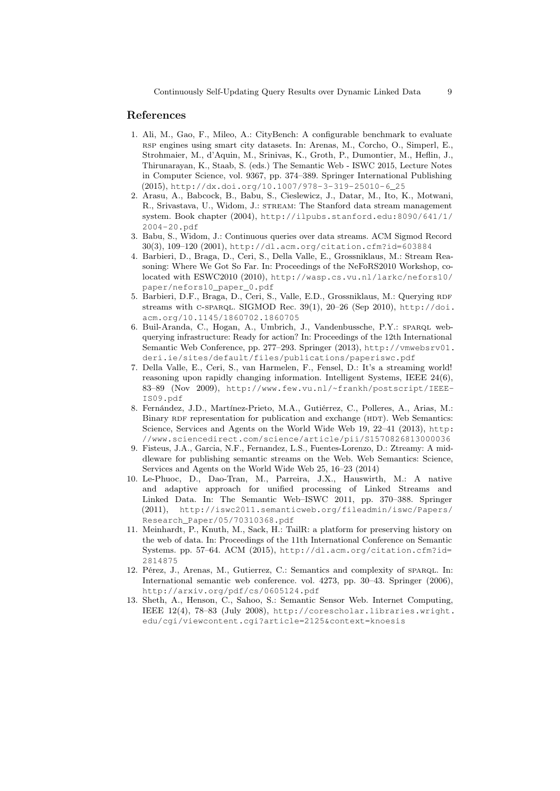#### References

- <span id="page-8-11"></span>1. Ali, M., Gao, F., Mileo, A.: CityBench: A configurable benchmark to evaluate rsp engines using smart city datasets. In: Arenas, M., Corcho, O., Simperl, E., Strohmaier, M., d'Aquin, M., Srinivas, K., Groth, P., Dumontier, M., Heflin, J., Thirunarayan, K., Staab, S. (eds.) The Semantic Web - ISWC 2015, Lecture Notes in Computer Science, vol. 9367, pp. 374–389. Springer International Publishing (2015), [http://dx.doi.org/10.1007/978-3-319-25010-6\\_25](http://dx.doi.org/10.1007/978-3-319-25010-6_25)
- <span id="page-8-6"></span>2. Arasu, A., Babcock, B., Babu, S., Cieslewicz, J., Datar, M., Ito, K., Motwani, R., Srivastava, U., Widom, J.: stream: The Stanford data stream management system. Book chapter (2004), [http://ilpubs.stanford.edu:8090/641/1/](http://ilpubs.stanford.edu:8090/641/1/2004-20.pdf) [2004-20.pdf](http://ilpubs.stanford.edu:8090/641/1/2004-20.pdf)
- <span id="page-8-0"></span>3. Babu, S., Widom, J.: Continuous queries over data streams. ACM Sigmod Record 30(3), 109–120 (2001), <http://dl.acm.org/citation.cfm?id=603884>
- <span id="page-8-1"></span>4. Barbieri, D., Braga, D., Ceri, S., Della Valle, E., Grossniklaus, M.: Stream Reasoning: Where We Got So Far. In: Proceedings of the NeFoRS2010 Workshop, colocated with ESWC2010 (2010), [http://wasp.cs.vu.nl/larkc/nefors10/](http://wasp.cs.vu.nl/larkc/nefors10/paper/nefors10_paper_0.pdf) [paper/nefors10\\_paper\\_0.pdf](http://wasp.cs.vu.nl/larkc/nefors10/paper/nefors10_paper_0.pdf)
- <span id="page-8-2"></span>5. Barbieri, D.F., Braga, D., Ceri, S., Valle, E.D., Grossniklaus, M.: Querying RDF streams with C-SPARQL. SIGMOD Rec.  $39(1)$ ,  $20-26$  (Sep 2010), [http://doi.](http://doi.acm.org/10.1145/1860702.1860705) [acm.org/10.1145/1860702.1860705](http://doi.acm.org/10.1145/1860702.1860705)
- <span id="page-8-8"></span>6. Buil-Aranda, C., Hogan, A., Umbrich, J., Vandenbussche, P.Y.: SPARQL webquerying infrastructure: Ready for action? In: Proceedings of the 12th International Semantic Web Conference, pp. 277–293. Springer (2013), [http://vmwebsrv01.](http://vmwebsrv01.deri.ie/sites/default/files/publications/paperiswc.pdf) [deri.ie/sites/default/files/publications/paperiswc.pdf](http://vmwebsrv01.deri.ie/sites/default/files/publications/paperiswc.pdf)
- <span id="page-8-4"></span>7. Della Valle, E., Ceri, S., van Harmelen, F., Fensel, D.: It's a streaming world! reasoning upon rapidly changing information. Intelligent Systems, IEEE 24(6), 83–89 (Nov 2009), [http://www.few.vu.nl/~frankh/postscript/IEEE-](http://www.few.vu.nl/~frankh/postscript/IEEE-IS09.pdf)[IS09.pdf](http://www.few.vu.nl/~frankh/postscript/IEEE-IS09.pdf)
- <span id="page-8-10"></span>8. Fernández, J.D., Martínez-Prieto, M.A., Gutiérrez, C., Polleres, A., Arias, M.: Binary RDF representation for publication and exchange (HDT). Web Semantics: Science, Services and Agents on the World Wide Web 19, 22–41 (2013), [http:](http://www.sciencedirect.com/science/article/pii/S1570826813000036) [//www.sciencedirect.com/science/article/pii/S1570826813000036](http://www.sciencedirect.com/science/article/pii/S1570826813000036)
- <span id="page-8-12"></span>9. Fisteus, J.A., Garcia, N.F., Fernandez, L.S., Fuentes-Lorenzo, D.: Ztreamy: A middleware for publishing semantic streams on the Web. Web Semantics: Science, Services and Agents on the World Wide Web 25, 16–23 (2014)
- <span id="page-8-3"></span>10. Le-Phuoc, D., Dao-Tran, M., Parreira, J.X., Hauswirth, M.: A native and adaptive approach for unified processing of Linked Streams and Linked Data. In: The Semantic Web–ISWC 2011, pp. 370–388. Springer (2011), [http://iswc2011.semanticweb.org/fileadmin/iswc/Papers/](http://iswc2011.semanticweb.org/fileadmin/iswc/Papers/Research_Paper/05/70310368.pdf) [Research\\_Paper/05/70310368.pdf](http://iswc2011.semanticweb.org/fileadmin/iswc/Papers/Research_Paper/05/70310368.pdf)
- <span id="page-8-7"></span>11. Meinhardt, P., Knuth, M., Sack, H.: TailR: a platform for preserving history on the web of data. In: Proceedings of the 11th International Conference on Semantic Systems. pp. 57–64. ACM (2015), [http://dl.acm.org/citation.cfm?id=](http://dl.acm.org/citation.cfm?id=2814875) [2814875](http://dl.acm.org/citation.cfm?id=2814875)
- <span id="page-8-9"></span>12. Pérez, J., Arenas, M., Gutierrez, C.: Semantics and complexity of SPARQL. In: International semantic web conference. vol. 4273, pp. 30–43. Springer (2006), <http://arxiv.org/pdf/cs/0605124.pdf>
- <span id="page-8-5"></span>13. Sheth, A., Henson, C., Sahoo, S.: Semantic Sensor Web. Internet Computing, IEEE 12(4), 78–83 (July 2008), [http://corescholar.libraries.wright.](http://corescholar.libraries.wright.edu/cgi/viewcontent.cgi?article=2125&context=knoesis) [edu/cgi/viewcontent.cgi?article=2125&context=knoesis](http://corescholar.libraries.wright.edu/cgi/viewcontent.cgi?article=2125&context=knoesis)